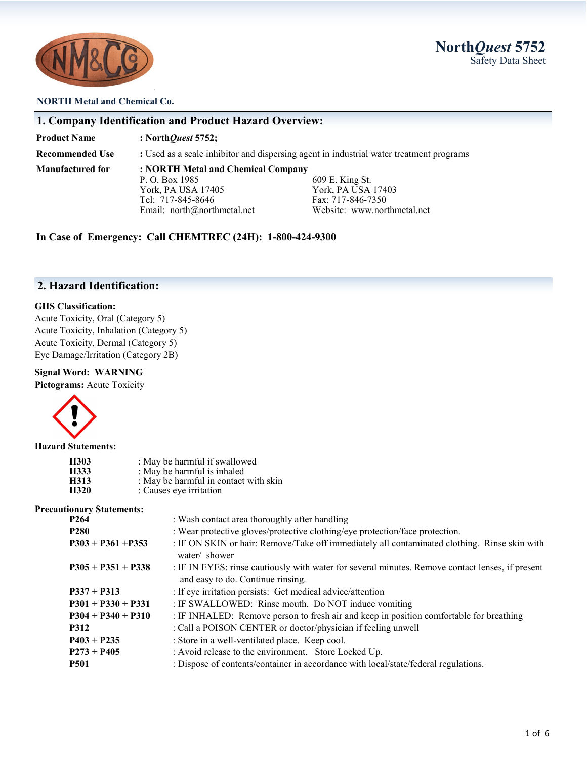

#### **NORTH Metal and Chemical Co.**

|                         | 1. Company Identification and Product Hazard Overview: |                                                                                         |
|-------------------------|--------------------------------------------------------|-----------------------------------------------------------------------------------------|
| <b>Product Name</b>     | : North <i>Quest</i> 5752;                             |                                                                                         |
| <b>Recommended Use</b>  |                                                        | : Used as a scale inhibitor and dispersing agent in industrial water treatment programs |
| <b>Manufactured for</b> | : NORTH Metal and Chemical Company                     |                                                                                         |
|                         | P. O. Box 1985                                         | 609 E. King St.                                                                         |
|                         | York. PA USA 17405                                     | York, PA USA 17403                                                                      |

Tel: 717-845-8646<br>
Email: north@northmetal.net<br>
Website: www.northmetal.net<br>
Website: www.northmetal.net

**In Case of Emergency: Call CHEMTREC (24H): 1-800-424-9300**

Email: north@northmetal.net

# **2. Hazard Identification:**

#### **GHS Classification:**

Acute Toxicity, Oral (Category 5) Acute Toxicity, Inhalation (Category 5) Acute Toxicity, Dermal (Category 5) Eye Damage/Irritation (Category 2B)

#### **Signal Word: WARNING**

**Pictograms:** Acute Toxicity



**Hazard Statements:**

| H303 | : May be harmful if swallowed         |
|------|---------------------------------------|
| H333 | : May be harmful is inhaled           |
| H313 | : May be harmful in contact with skin |
| H320 | : Causes eye irritation               |

#### **Precautionary Statements:**

| онагу этатения.      |                                                                                                                                       |  |  |
|----------------------|---------------------------------------------------------------------------------------------------------------------------------------|--|--|
| P264                 | : Wash contact area thoroughly after handling                                                                                         |  |  |
| P280                 | : Wear protective gloves/protective clothing/eye protection/face protection.                                                          |  |  |
| $P303 + P361 + P353$ | : IF ON SKIN or hair: Remove/Take off immediately all contaminated clothing. Rinse skin with<br>water/ shower                         |  |  |
| $P305 + P351 + P338$ | : IF IN EYES: rinse cautiously with water for several minutes. Remove contact lenses, if present<br>and easy to do. Continue rinsing. |  |  |
| $P337 + P313$        | : If eye irritation persists: Get medical advice/attention                                                                            |  |  |
| $P301 + P330 + P331$ | : IF SWALLOWED: Rinse mouth. Do NOT induce vomiting                                                                                   |  |  |
| $P304 + P340 + P310$ | : IF INHALED: Remove person to fresh air and keep in position comfortable for breathing                                               |  |  |
| P312                 | : Call a POISON CENTER or doctor/physician if feeling unwell                                                                          |  |  |
| $P403 + P235$        | : Store in a well-ventilated place. Keep cool.                                                                                        |  |  |
| $P273 + P405$        | : Avoid release to the environment. Store Locked Up.                                                                                  |  |  |
| P501                 | : Dispose of contents/container in accordance with local/state/federal regulations.                                                   |  |  |
|                      |                                                                                                                                       |  |  |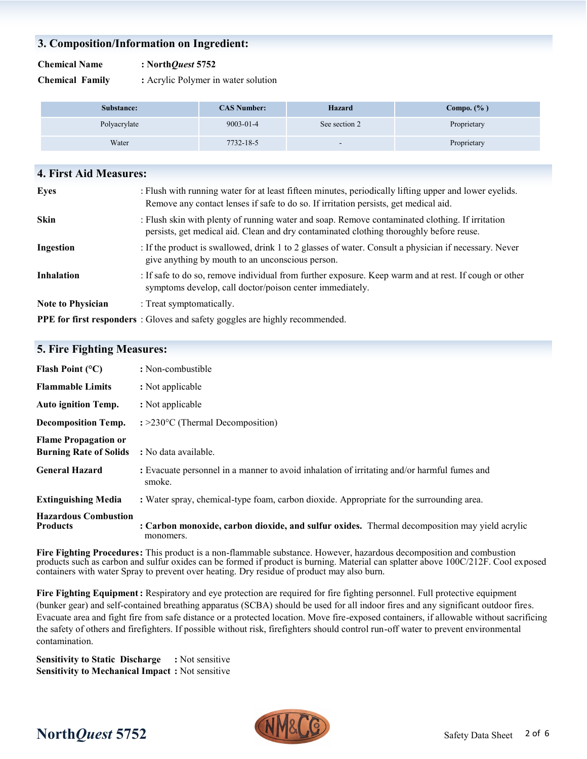## **3. Composition/Information on Ingredient:**

#### **Chemical Name : North***Quest* **5752**

**Chemical Family :** Acrylic Polymer in water solution

| Substance:   | <b>CAS Number:</b> | <b>Hazard</b>            | Compo. $(\% )$ |
|--------------|--------------------|--------------------------|----------------|
| Polyacrylate | $9003 - 01 - 4$    | See section 2            | Proprietary    |
| Water        | 7732-18-5          | $\overline{\phantom{a}}$ | Proprietary    |

| <b>4. First Aid Measures:</b> |                                                                                                                                                                                                |
|-------------------------------|------------------------------------------------------------------------------------------------------------------------------------------------------------------------------------------------|
| <b>Eyes</b>                   | : Flush with running water for at least fifteen minutes, periodically lifting upper and lower eyelids.<br>Remove any contact lenses if safe to do so. If irritation persists, get medical aid. |
| <b>Skin</b>                   | : Flush skin with plenty of running water and soap. Remove contaminated clothing. If irritation<br>persists, get medical aid. Clean and dry contaminated clothing thoroughly before reuse.     |
| Ingestion                     | : If the product is swallowed, drink 1 to 2 glasses of water. Consult a physician if necessary. Never<br>give anything by mouth to an unconscious person.                                      |
| <b>Inhalation</b>             | : If safe to do so, remove individual from further exposure. Keep warm and at rest. If cough or other<br>symptoms develop, call doctor/poison center immediately.                              |
| <b>Note to Physician</b>      | : Treat symptomatically.                                                                                                                                                                       |
|                               | <b>PPE for first responders</b> : Gloves and safety goggles are highly recommended.                                                                                                            |

## **5. Fire Fighting Measures:**

| Flash Point $(^{\circ}C)$                                    | : Non-combustible                                                                                          |
|--------------------------------------------------------------|------------------------------------------------------------------------------------------------------------|
| <b>Flammable Limits</b>                                      | : Not applicable                                                                                           |
| <b>Auto ignition Temp.</b>                                   | : Not applicable                                                                                           |
| <b>Decomposition Temp.</b>                                   | $\div 230^{\circ}$ C (Thermal Decomposition)                                                               |
| <b>Flame Propagation or</b><br><b>Burning Rate of Solids</b> | : No data available.                                                                                       |
| <b>General Hazard</b>                                        | : Evacuate personnel in a manner to avoid inhalation of irritating and/or harmful fumes and<br>smoke.      |
| <b>Extinguishing Media</b>                                   | : Water spray, chemical-type foam, carbon dioxide. Appropriate for the surrounding area.                   |
| <b>Hazardous Combustion</b><br><b>Products</b>               | : Carbon monoxide, carbon dioxide, and sulfur oxides. Thermal decomposition may yield acrylic<br>monomers. |

**Fire Fighting Procedures:** This product is a non-flammable substance. However, hazardous decomposition and combustion products such as carbon and sulfur oxides can be formed if product is burning. Material can splatter above 100C/212F. Cool exposed containers with water Spray to prevent over heating. Dry residue of product may also burn.

**Fire Fighting Equipment:** Respiratory and eye protection are required for fire fighting personnel. Full protective equipment (bunker gear) and self-contained breathing apparatus (SCBA) should be used for all indoor fires and any significant outdoor fires. Evacuate area and fight fire from safe distance or a protected location. Move fire-exposed containers, if allowable without sacrificing the safety of others and firefighters. If possible without risk, firefighters should control run-off water to prevent environmental contamination.

**Sensitivity to Static Discharge :** Not sensitive **Sensitivity to Mechanical Impact :** Not sensitive

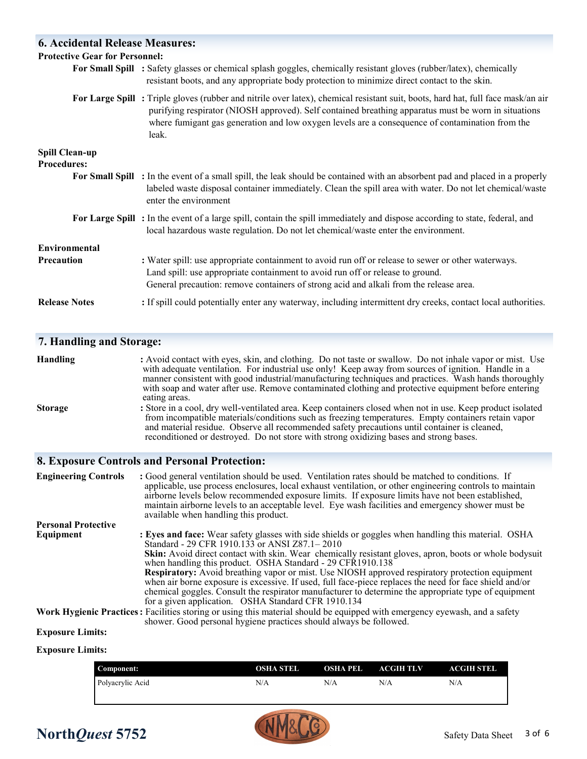| <b>6. Accidental Release Measures:</b>      |                                                                                                                                                                                                                                                                                                                                                     |
|---------------------------------------------|-----------------------------------------------------------------------------------------------------------------------------------------------------------------------------------------------------------------------------------------------------------------------------------------------------------------------------------------------------|
| <b>Protective Gear for Personnel:</b>       |                                                                                                                                                                                                                                                                                                                                                     |
|                                             | For Small Spill : Safety glasses or chemical splash goggles, chemically resistant gloves (rubber/latex), chemically<br>resistant boots, and any appropriate body protection to minimize direct contact to the skin.                                                                                                                                 |
|                                             | For Large Spill: Triple gloves (rubber and nitrile over latex), chemical resistant suit, boots, hard hat, full face mask/an air<br>purifying respirator (NIOSH approved). Self contained breathing apparatus must be worn in situations<br>where fumigant gas generation and low oxygen levels are a consequence of contamination from the<br>leak. |
| <b>Spill Clean-up</b><br><b>Procedures:</b> |                                                                                                                                                                                                                                                                                                                                                     |
|                                             | For Small Spill : In the event of a small spill, the leak should be contained with an absorbent pad and placed in a properly<br>labeled waste disposal container immediately. Clean the spill area with water. Do not let chemical/waste<br>enter the environment                                                                                   |
|                                             | For Large Spill: In the event of a large spill, contain the spill immediately and dispose according to state, federal, and<br>local hazardous waste regulation. Do not let chemical/waste enter the environment.                                                                                                                                    |
| Environmental                               |                                                                                                                                                                                                                                                                                                                                                     |
| Precaution                                  | : Water spill: use appropriate containment to avoid run off or release to sewer or other waterways.<br>Land spill: use appropriate containment to avoid run off or release to ground.<br>General precaution: remove containers of strong acid and alkali from the release area.                                                                     |
| <b>Release Notes</b>                        | : If spill could potentially enter any waterway, including intermittent dry creeks, contact local authorities.                                                                                                                                                                                                                                      |

# **7. Handling and Storage:**

| <b>Handling</b> | : Avoid contact with eyes, skin, and clothing. Do not taste or swallow. Do not inhale vapor or mist. Use<br>with adequate ventilation. For industrial use only! Keep away from sources of ignition. Handle in a<br>manner consistent with good industrial/manufacturing techniques and practices. Wash hands thoroughly<br>with soap and water after use. Remove contaminated clothing and protective equipment before entering<br>eating areas. |
|-----------------|--------------------------------------------------------------------------------------------------------------------------------------------------------------------------------------------------------------------------------------------------------------------------------------------------------------------------------------------------------------------------------------------------------------------------------------------------|
| <b>Storage</b>  | : Store in a cool, dry well-ventilated area. Keep containers closed when not in use. Keep product isolated<br>from incompatible materials/conditions such as freezing temperatures. Empty containers retain vapor<br>and material residue. Observe all recommended safety precautions until container is cleaned,<br>reconditioned or destroyed. Do not store with strong oxidizing bases and strong bases.                                      |

# **8. Exposure Controls and Personal Protection:**

| <b>Engineering Controls</b> | : Good general ventilation should be used. Ventilation rates should be matched to conditions. If<br>applicable, use process enclosures, local exhaust ventilation, or other engineering controls to maintain<br>airborne levels below recommended exposure limits. If exposure limits have not been established,<br>maintain airborne levels to an acceptable level. Eye wash facilities and emergency shower must be<br>available when handling this product. |
|-----------------------------|----------------------------------------------------------------------------------------------------------------------------------------------------------------------------------------------------------------------------------------------------------------------------------------------------------------------------------------------------------------------------------------------------------------------------------------------------------------|
| <b>Personal Protective</b>  |                                                                                                                                                                                                                                                                                                                                                                                                                                                                |
| Equipment                   | : Eyes and face: Wear safety glasses with side shields or goggles when handling this material. OSHA<br>Standard - 29 CFR 1910.133 or ANSI Z87.1-2010                                                                                                                                                                                                                                                                                                           |
|                             | Skin: Avoid direct contact with skin. Wear chemically resistant gloves, apron, boots or whole bodysuit<br>when handling this product. OSHA Standard - 29 CFR1910.138                                                                                                                                                                                                                                                                                           |
|                             | Respiratory: Avoid breathing vapor or mist. Use NIOSH approved respiratory protection equipment<br>when air borne exposure is excessive. If used, full face-piece replaces the need for face shield and/or<br>chemical goggles. Consult the respirator manufacturer to determine the appropriate type of equipment                                                                                                                                             |
|                             | for a given application. OSHA Standard CFR 1910.134                                                                                                                                                                                                                                                                                                                                                                                                            |
|                             | Work Hygienic Practices: Facilities storing or using this material should be equipped with emergency eyewash, and a safety<br>shower. Good personal hygiene practices should always be followed.                                                                                                                                                                                                                                                               |
| <b>Exposure Limits:</b>     |                                                                                                                                                                                                                                                                                                                                                                                                                                                                |

# **Exposure Limits:**

| Component:       | OSHA STEL | OSHA PEL | ACGIH TLV | ACGIH STEL |
|------------------|-----------|----------|-----------|------------|
| Polyacrylic Acid | N/A       | N/A      | N/A       | N/A        |
|                  |           |          |           |            |

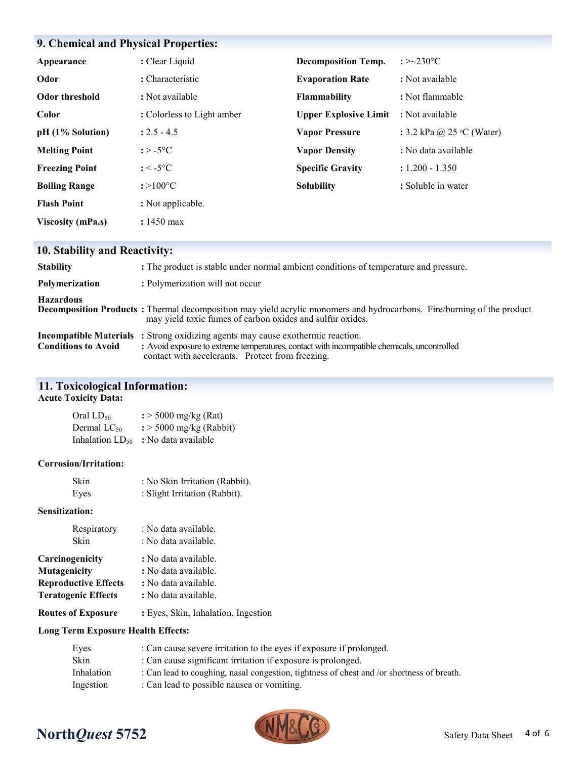| 9. Chemical and Physical Properties: |                            |                              |                                    |
|--------------------------------------|----------------------------|------------------------------|------------------------------------|
|                                      |                            |                              |                                    |
| Appearance                           | : Clear Liquid             | <b>Decomposition Temp.</b>   | : $>230^{\circ}$ C                 |
| Odor                                 | : Characteristic           | <b>Evaporation Rate</b>      | : Not available                    |
| Odor threshold                       | : Not available            | <b>Flammability</b>          | : Not flammable                    |
| Color                                | : Colorless to Light amber | <b>Upper Explosive Limit</b> | : Not available                    |
| pH (1% Solution)                     | $: 2.5 - 4.5$              | <b>Vapor Pressure</b>        | : 3.2 kPa @ 25 $\degree$ C (Water) |
| <b>Melting Point</b>                 | : $>$ -5 $^{\circ}$ C      | <b>Vapor Density</b>         | : No data available                |
| <b>Freezing Point</b>                | $: < -5$ °C                | <b>Specific Gravity</b>      | $: 1.200 - 1.350$                  |
| <b>Boiling Range</b>                 | $: >100^{\circ}C$          | <b>Solubility</b>            | : Soluble in water                 |
| <b>Flash Point</b>                   | : Not applicable.          |                              |                                    |
| <b>Viscosity (mPa.s)</b>             | $: 1450$ max               |                              |                                    |

# **10. Stability and Reactivity:**

| <b>Stability</b>           | : The product is stable under normal ambient conditions of temperature and pressure.                                                                                                                                                      |
|----------------------------|-------------------------------------------------------------------------------------------------------------------------------------------------------------------------------------------------------------------------------------------|
| Polymerization             | : Polymerization will not occur                                                                                                                                                                                                           |
| <b>Hazardous</b>           | <b>Decomposition Products</b> : Thermal decomposition may yield acrylic monomers and hydrocarbons. Fire/burning of the product<br>may yield toxic fumes of carbon oxides and sulfur oxides.                                               |
| <b>Conditions to Avoid</b> | <b>Incompatible Materials</b> : Strong oxidizing agents may cause exothermic reaction.<br>: Avoid exposure to extreme temperatures, contact with incompatible chemicals, uncontrolled<br>contact with accelerants. Protect from freezing. |

# **11. Toxicological Information:**

#### **Acute Toxicity Data:**

| Oral LD <sub>50</sub>       | $\frac{1}{2}$ > 5000 mg/kg (Rat)    |
|-----------------------------|-------------------------------------|
| Dermal LC50                 | $\frac{1}{2}$ > 5000 mg/kg (Rabbit) |
| Inhalation LD <sub>50</sub> | : No data available                 |

#### **Corrosion/Irritation:**

| Skin | : No Skin Irritation (Rabbit). |
|------|--------------------------------|
| Eyes | : Slight Irritation (Rabbit).  |

#### **Sensitization:**

| Respiratory<br>Skin         | : No data available.<br>: No data available. |  |
|-----------------------------|----------------------------------------------|--|
| Carcinogenicity             | : No data available.                         |  |
| <b>Mutagenicity</b>         | : No data available.                         |  |
| <b>Reproductive Effects</b> | : No data available.                         |  |
| <b>Teratogenic Effects</b>  | : No data available.                         |  |
| <b>Routes of Exposure</b>   | : Eyes, Skin, Inhalation, Ingestion          |  |

## **Long Term Exposure Health Effects:**

| : Can cause severe irritation to the eyes if exposure if prolonged.                       |
|-------------------------------------------------------------------------------------------|
| : Can cause significant irritation if exposure is prolonged.                              |
| : Can lead to coughing, nasal congestion, tightness of chest and /or shortness of breath. |
| : Can lead to possible nausea or vomiting.                                                |
|                                                                                           |

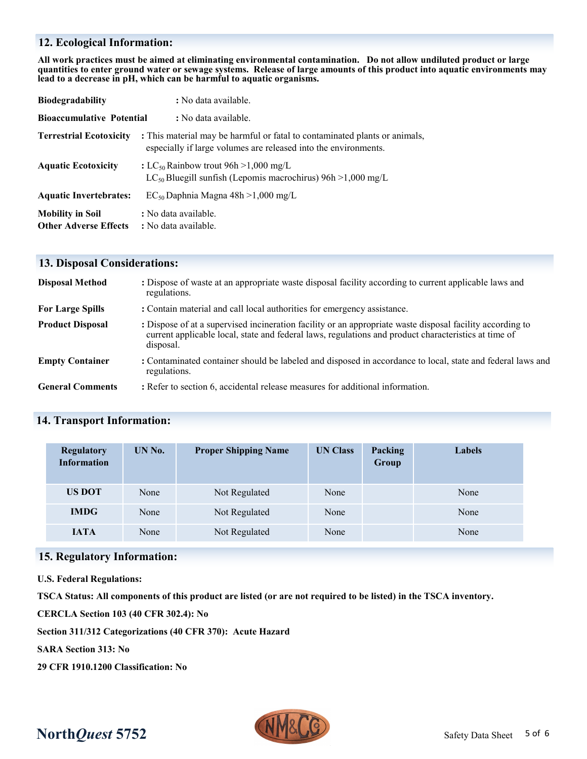# **12. Ecological Information:**

**All work practices must be aimed at eliminating environmental contamination. Do not allow undiluted product or large quantities to enter ground water or sewage systems. Release of large amounts of this product into aquatic environments may lead to a decrease in pH, which can be harmful to aquatic organisms.**

| <b>Biodegradability</b>                                 | : No data available.                                                                                                                          |  |
|---------------------------------------------------------|-----------------------------------------------------------------------------------------------------------------------------------------------|--|
| <b>Bioaccumulative Potential</b>                        | : No data available.                                                                                                                          |  |
| <b>Terrestrial Ecotoxicity</b>                          | : This material may be harmful or fatal to contaminated plants or animals,<br>especially if large volumes are released into the environments. |  |
| <b>Aquatic Ecotoxicity</b>                              | : LC <sub>50</sub> Rainbow trout 96h > 1,000 mg/L<br>$LC_{50}$ Bluegill sunfish (Lepomis macrochirus) 96h > 1,000 mg/L                        |  |
| <b>Aquatic Invertebrates:</b>                           | $EC_{50}$ Daphnia Magna 48h >1,000 mg/L                                                                                                       |  |
| <b>Mobility in Soil</b><br><b>Other Adverse Effects</b> | : No data available.<br>: No data available.                                                                                                  |  |

## **13. Disposal Considerations:**

| <b>Disposal Method</b>  | : Dispose of waste at an appropriate waste disposal facility according to current applicable laws and<br>regulations.                                                                                                          |
|-------------------------|--------------------------------------------------------------------------------------------------------------------------------------------------------------------------------------------------------------------------------|
| <b>For Large Spills</b> | : Contain material and call local authorities for emergency assistance.                                                                                                                                                        |
| <b>Product Disposal</b> | : Dispose of at a supervised incineration facility or an appropriate waste disposal facility according to<br>current applicable local, state and federal laws, regulations and product characteristics at time of<br>disposal. |
| <b>Empty Container</b>  | : Contaminated container should be labeled and disposed in accordance to local, state and federal laws and<br>regulations.                                                                                                     |
| <b>General Comments</b> | : Refer to section 6, accidental release measures for additional information.                                                                                                                                                  |

#### **14. Transport Information:**

| <b>Regulatory</b><br><b>Information</b> | UN No. | <b>Proper Shipping Name</b> | <b>UN Class</b> | Packing<br>Group | <b>Labels</b> |
|-----------------------------------------|--------|-----------------------------|-----------------|------------------|---------------|
| <b>US DOT</b>                           | None   | Not Regulated               | None            |                  | None          |
| <b>IMDG</b>                             | None   | Not Regulated               | None            |                  | None          |
| <b>IATA</b>                             | None   | Not Regulated               | None            |                  | None          |

#### **15. Regulatory Information:**

**U.S. Federal Regulations:**

**TSCA Status: All components of this product are listed (or are not required to be listed) in the TSCA inventory.**

**CERCLA Section 103 (40 CFR 302.4): No**

**Section 311/312 Categorizations (40 CFR 370): Acute Hazard**

**SARA Section 313: No**

**29 CFR 1910.1200 Classification: No**